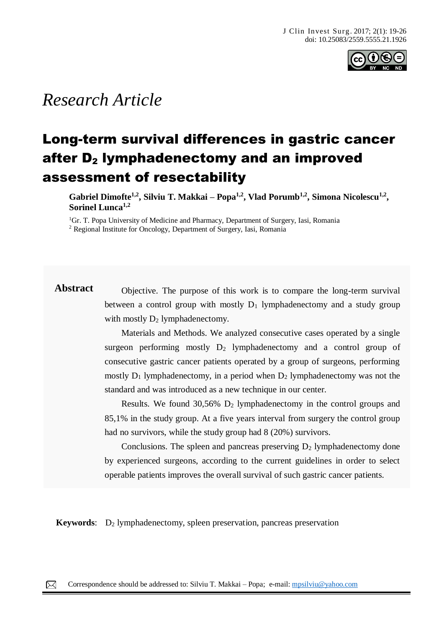

# *Research Article*

# Long-term survival differences in gastric cancer after  $D_2$  lymphadenectomy and an improved assessment of resectability

**Gabriel Dimofte1,2, Silviu T. Makkai – Popa1,2, Vlad Porumb1,2, Simona Nicolescu1,2 , Sorinel Lunca1,2** 

<sup>1</sup>Gr. T. Popa University of Medicine and Pharmacy, Department of Surgery, Iasi, Romania <sup>2</sup> Regional Institute for Oncology, Department of Surgery, Iasi, Romania

**Abstract** Objective. The purpose of this work is to compare the long-term survival between a control group with mostly  $D_1$  lymphadenectomy and a study group with mostly  $D_2$  lymphadenectomy.

> Materials and Methods. We analyzed consecutive cases operated by a single surgeon performing mostly  $D_2$  lymphadenectomy and a control group of consecutive gastric cancer patients operated by a group of surgeons, performing mostly  $D_1$  lymphadenectomy, in a period when  $D_2$  lymphadenectomy was not the standard and was introduced as a new technique in our center.

> Results. We found  $30,56\%$  D<sub>2</sub> lymphadenectomy in the control groups and 85,1% in the study group. At a five years interval from surgery the control group had no survivors, while the study group had 8 (20%) survivors.

> Conclusions. The spleen and pancreas preserving  $D_2$  lymphadenectomy done by experienced surgeons, according to the current guidelines in order to select operable patients improves the overall survival of such gastric cancer patients.

**Keywords:** D<sub>2</sub> lymphadenectomy, spleen preservation, pancreas preservation

papules, pustules, nodules and sometimes hematic or meliceric crusts, located on the face, trunk, neck, arms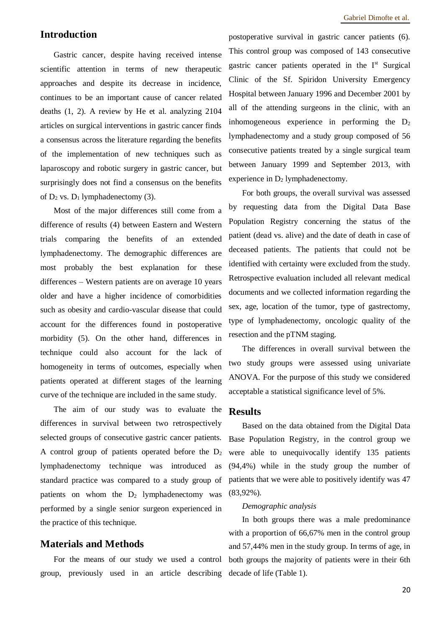## **Introduction**

Gastric cancer, despite having received intense scientific attention in terms of new therapeutic approaches and despite its decrease in incidence, continues to be an important cause of cancer related deaths (1, 2). A review by He et al. analyzing 2104 articles on surgical interventions in gastric cancer finds a consensus across the literature regarding the benefits of the implementation of new techniques such as laparoscopy and robotic surgery in gastric cancer, but surprisingly does not find a consensus on the benefits of  $D_2$  vs.  $D_1$  lymphadenectomy (3).

Most of the major differences still come from a difference of results (4) between Eastern and Western trials comparing the benefits of an extended lymphadenectomy. The demographic differences are most probably the best explanation for these differences – Western patients are on average 10 years older and have a higher incidence of comorbidities such as obesity and cardio-vascular disease that could account for the differences found in postoperative morbidity (5). On the other hand, differences in technique could also account for the lack of homogeneity in terms of outcomes, especially when patients operated at different stages of the learning curve of the technique are included in the same study.

The aim of our study was to evaluate the differences in survival between two retrospectively selected groups of consecutive gastric cancer patients. A control group of patients operated before the  $D_2$ lymphadenectomy technique was introduced as standard practice was compared to a study group of patients on whom the  $D_2$  lymphadenectomy was performed by a single senior surgeon experienced in the practice of this technique.

### **Materials and Methods**

group, previously used in an article describing decade of life (Table 1).

postoperative survival in gastric cancer patients (6). This control group was composed of 143 consecutive gastric cancer patients operated in the I<sup>st</sup> Surgical Clinic of the Sf. Spiridon University Emergency Hospital between January 1996 and December 2001 by all of the attending surgeons in the clinic, with an inhomogeneous experience in performing the  $D_2$ lymphadenectomy and a study group composed of 56 consecutive patients treated by a single surgical team between January 1999 and September 2013, with experience in  $D_2$  lymphadenectomy.

For both groups, the overall survival was assessed by requesting data from the Digital Data Base Population Registry concerning the status of the patient (dead vs. alive) and the date of death in case of deceased patients. The patients that could not be identified with certainty were excluded from the study. Retrospective evaluation included all relevant medical documents and we collected information regarding the sex, age, location of the tumor, type of gastrectomy, type of lymphadenectomy, oncologic quality of the resection and the pTNM staging.

The differences in overall survival between the two study groups were assessed using univariate ANOVA. For the purpose of this study we considered acceptable a statistical significance level of 5%.

#### **Results**

Based on the data obtained from the Digital Data Base Population Registry, in the control group we were able to unequivocally identify 135 patients (94,4%) while in the study group the number of patients that we were able to positively identify was 47 (83,92%).

#### *Demographic analysis*

For the means of our study we used a control both groups the majority of patients were in their 6th In both groups there was a male predominance with a proportion of 66,67% men in the control group and 57,44% men in the study group. In terms of age, in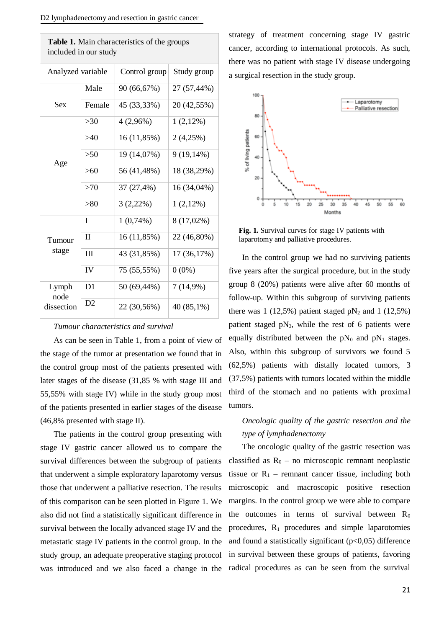| included in our study       |                |               |              |
|-----------------------------|----------------|---------------|--------------|
| Analyzed variable           |                | Control group | Study group  |
|                             | Male           | 90 (66,67%)   | 27 (57,44%)  |
| <b>Sex</b>                  | Female         | 45 (33,33%)   | 20 (42,55%)  |
| Age                         | $>30$          | $4(2,96\%)$   | $1(2,12\%)$  |
|                             | $>40$          | 16 (11,85%)   | 2(4,25%)     |
|                             | >50            | 19 (14,07%)   | $9(19,14\%)$ |
|                             | $>60$          | 56 (41,48%)   | 18 (38,29%)  |
|                             | >70            | 37 (27,4%)    | 16 (34,04%)  |
|                             | >80            | $3(2,22\%)$   | $1(2,12\%)$  |
| Tumour<br>stage             | I              | $1(0,74\%)$   | 8 (17,02%)   |
|                             | $\rm II$       | 16 (11,85%)   | 22 (46,80%)  |
|                             | III            | 43 (31,85%)   | 17 (36,17%)  |
|                             | IV             | 75 (55,55%)   | $0(0\%)$     |
| Lymph<br>node<br>dissection | D <sub>1</sub> | 50 (69,44%)   | $7(14,9\%)$  |
|                             | D <sub>2</sub> | 22 (30,56%)   | 40 (85,1%)   |

strategy of treatment concerning stage IV gastric cancer, according to international protocols. As such, there was no patient with stage IV disease undergoing a surgical resection in the study group. **Table 1.** Main characteristics of the groups



**Fig. 1.** Survival curves for stage IV patients with laparotomy and palliative procedures.

In the control group we had no surviving patients five years after the surgical procedure, but in the study group 8 (20%) patients were alive after 60 months of follow-up. Within this subgroup of surviving patients there was 1 (12,5%) patient staged  $pN_2$  and 1 (12,5%) patient staged  $pN_3$ , while the rest of 6 patients were equally distributed between the  $pN_0$  and  $pN_1$  stages. Also, within this subgroup of survivors we found 5 (62,5%) patients with distally located tumors, 3 (37,5%) patients with tumors located within the middle third of the stomach and no patients with proximal tumors.

## *Oncologic quality of the gastric resection and the type of lymphadenectomy*

The oncologic quality of the gastric resection was classified as  $R_0$  – no microscopic remnant neoplastic tissue or  $R_1$  – remnant cancer tissue, including both microscopic and macroscopic positive resection margins. In the control group we were able to compare the outcomes in terms of survival between  $R_0$ procedures,  $R_1$  procedures and simple laparotomies and found a statistically significant  $(p<0,05)$  difference in survival between these groups of patients, favoring radical procedures as can be seen from the survival

#### *Tumour characteristics and survival*

As can be seen in Table 1, from a point of view of the stage of the tumor at presentation we found that in the control group most of the patients presented with later stages of the disease (31,85 % with stage III and 55,55% with stage IV) while in the study group most of the patients presented in earlier stages of the disease (46,8% presented with stage II).

The patients in the control group presenting with stage IV gastric cancer allowed us to compare the survival differences between the subgroup of patients that underwent a simple exploratory laparotomy versus those that underwent a palliative resection. The results of this comparison can be seen plotted in Figure 1. We also did not find a statistically significant difference in survival between the locally advanced stage IV and the metastatic stage IV patients in the control group. In the study group, an adequate preoperative staging protocol was introduced and we also faced a change in the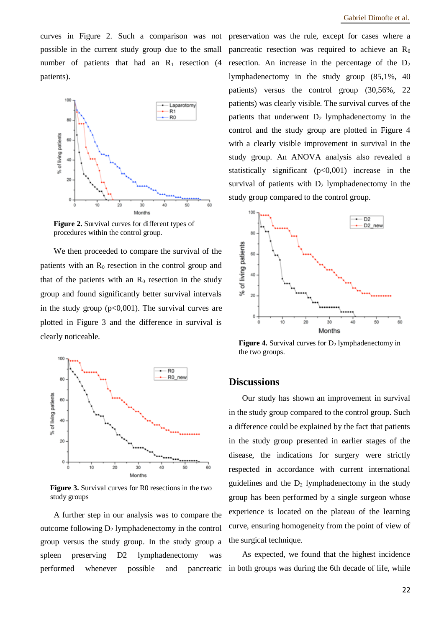curves in Figure 2. Such a comparison was not possible in the current study group due to the small number of patients that had an  $R_1$  resection (4) patients).



**Figure 2.** Survival curves for different types of procedures within the control group.

We then proceeded to compare the survival of the patients with an  $R_0$  resection in the control group and that of the patients with an  $R_0$  resection in the study group and found significantly better survival intervals in the study group  $(p<0,001)$ . The survival curves are plotted in Figure 3 and the difference in survival is clearly noticeable.



**Figure 3.** Survival curves for R0 resections in the two study groups

A further step in our analysis was to compare the outcome following  $D_2$  lymphadenectomy in the control group versus the study group. In the study group a spleen preserving D2 lymphadenectomy was performed whenever possible and pancreatic

preservation was the rule, except for cases where a pancreatic resection was required to achieve an  $R_0$ resection. An increase in the percentage of the  $D_2$ lymphadenectomy in the study group (85,1%, 40 patients) versus the control group (30,56%, 22 patients) was clearly visible. The survival curves of the patients that underwent  $D_2$  lymphadenectomy in the control and the study group are plotted in Figure 4 with a clearly visible improvement in survival in the study group. An ANOVA analysis also revealed a statistically significant  $(p<0,001)$  increase in the survival of patients with  $D_2$  lymphadenectomy in the study group compared to the control group.



**Figure 4.** Survival curves for  $D_2$  lymphadenectomy in the two groups.

### **Discussions**

Our study has shown an improvement in survival in the study group compared to the control group. Such a difference could be explained by the fact that patients in the study group presented in earlier stages of the disease, the indications for surgery were strictly respected in accordance with current international guidelines and the  $D_2$  lymphadenectomy in the study group has been performed by a single surgeon whose experience is located on the plateau of the learning curve, ensuring homogeneity from the point of view of the surgical technique.

As expected, we found that the highest incidence in both groups was during the 6th decade of life, while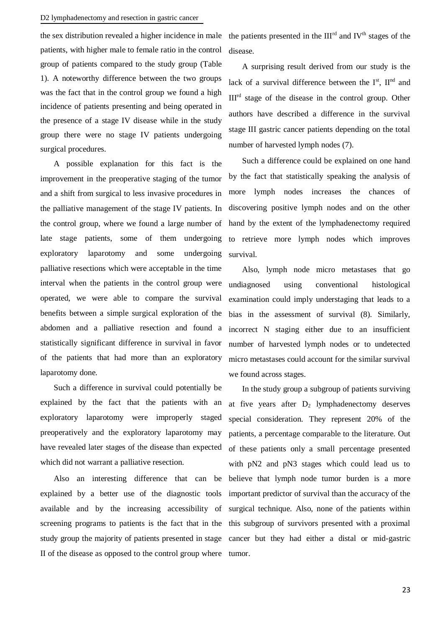#### D2 lymphadenectomy and resection in gastric cancer

the sex distribution revealed a higher incidence in male patients, with higher male to female ratio in the control group of patients compared to the study group (Table 1). A noteworthy difference between the two groups was the fact that in the control group we found a high incidence of patients presenting and being operated in the presence of a stage IV disease while in the study group there were no stage IV patients undergoing surgical procedures.

A possible explanation for this fact is the improvement in the preoperative staging of the tumor and a shift from surgical to less invasive procedures in the palliative management of the stage IV patients. In the control group, where we found a large number of late stage patients, some of them undergoing exploratory laparotomy and some undergoing palliative resections which were acceptable in the time interval when the patients in the control group were operated, we were able to compare the survival benefits between a simple surgical exploration of the abdomen and a palliative resection and found a statistically significant difference in survival in favor of the patients that had more than an exploratory laparotomy done.

Such a difference in survival could potentially be explained by the fact that the patients with an exploratory laparotomy were improperly staged preoperatively and the exploratory laparotomy may have revealed later stages of the disease than expected which did not warrant a palliative resection.

Also an interesting difference that can be explained by a better use of the diagnostic tools available and by the increasing accessibility of screening programs to patients is the fact that in the study group the majority of patients presented in stage II of the disease as opposed to the control group where

the patients presented in the  $III<sup>rd</sup>$  and IV<sup>th</sup> stages of the disease.

A surprising result derived from our study is the lack of a survival difference between the  $I<sup>st</sup>$ ,  $II<sup>nd</sup>$  and IIIrd stage of the disease in the control group. Other authors have described a difference in the survival stage III gastric cancer patients depending on the total number of harvested lymph nodes (7).

Such a difference could be explained on one hand by the fact that statistically speaking the analysis of more lymph nodes increases the chances of discovering positive lymph nodes and on the other hand by the extent of the lymphadenectomy required to retrieve more lymph nodes which improves survival.

Also, lymph node micro metastases that go undiagnosed using conventional histological examination could imply understaging that leads to a bias in the assessment of survival (8). Similarly, incorrect N staging either due to an insufficient number of harvested lymph nodes or to undetected micro metastases could account for the similar survival we found across stages.

In the study group a subgroup of patients surviving at five years after  $D_2$  lymphadenectomy deserves special consideration. They represent 20% of the patients, a percentage comparable to the literature. Out of these patients only a small percentage presented with pN2 and pN3 stages which could lead us to believe that lymph node tumor burden is a more important predictor of survival than the accuracy of the surgical technique. Also, none of the patients within this subgroup of survivors presented with a proximal cancer but they had either a distal or mid-gastric tumor.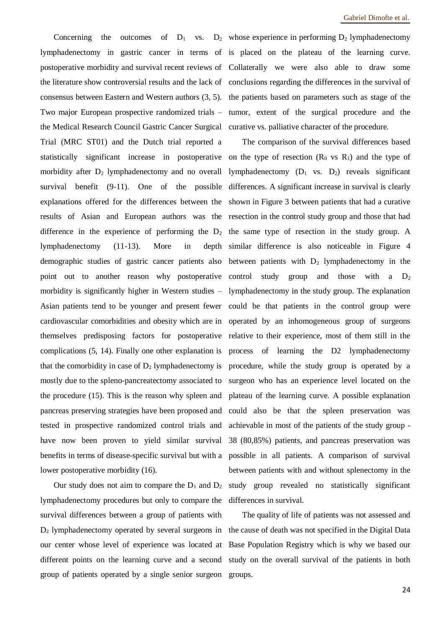lymphadenectomy in gastric cancer in terms of is placed on the plateau of the learning curve. postoperative morbidity and survival recent reviews of Collaterally we were also able to draw some the literature show controversial results and the lack of conclusions regarding the differences in the survival of consensus between Eastern and Western authors (3, 5). Two major European prospective randomized trials – the Medical Research Council Gastric Cancer Surgical Trial (MRC ST01) and the Dutch trial reported a statistically significant increase in postoperative morbidity after  $D_2$  lymphadenectomy and no overall survival benefit (9-11). One of the possible explanations offered for the differences between the results of Asian and European authors was the difference in the experience of performing the  $D_2$ lymphadenectomy (11-13). More in depth demographic studies of gastric cancer patients also point out to another reason why postoperative morbidity is significantly higher in Western studies – Asian patients tend to be younger and present fewer cardiovascular comorbidities and obesity which are in themselves predisposing factors for postoperative complications (5, 14). Finally one other explanation is that the comorbidity in case of  $D_2$  lymphadenectomy is mostly due to the spleno-pancreatectomy associated to the procedure (15). This is the reason why spleen and pancreas preserving strategies have been proposed and tested in prospective randomized control trials and have now been proven to yield similar survival benefits in terms of disease-specific survival but with a lower postoperative morbidity (16).

Our study does not aim to compare the  $D_1$  and  $D_2$ lymphadenectomy procedures but only to compare the survival differences between a group of patients with D<sup>2</sup> lymphadenectomy operated by several surgeons in our center whose level of experience was located at different points on the learning curve and a second group of patients operated by a single senior surgeon

Concerning the outcomes of  $D_1$  vs.  $D_2$  whose experience in performing  $D_2$  lymphadenectomy the patients based on parameters such as stage of the tumor, extent of the surgical procedure and the curative vs. palliative character of the procedure.

> The comparison of the survival differences based on the type of resection  $(R_0 \text{ vs } R_1)$  and the type of lymphadenectomy  $(D_1 \text{ vs. } D_2)$  reveals significant differences. A significant increase in survival is clearly shown in Figure 3 between patients that had a curative resection in the control study group and those that had the same type of resection in the study group. A similar difference is also noticeable in Figure 4 between patients with  $D_2$  lymphadenectomy in the control study group and those with a  $D<sub>2</sub>$ lymphadenectomy in the study group. The explanation could be that patients in the control group were operated by an inhomogeneous group of surgeons relative to their experience, most of them still in the process of learning the D2 lymphadenectomy procedure, while the study group is operated by a surgeon who has an experience level located on the plateau of the learning curve. A possible explanation could also be that the spleen preservation was achievable in most of the patients of the study group - 38 (80,85%) patients, and pancreas preservation was possible in all patients. A comparison of survival between patients with and without splenectomy in the study group revealed no statistically significant differences in survival.

> The quality of life of patients was not assessed and the cause of death was not specified in the Digital Data Base Population Registry which is why we based our study on the overall survival of the patients in both groups.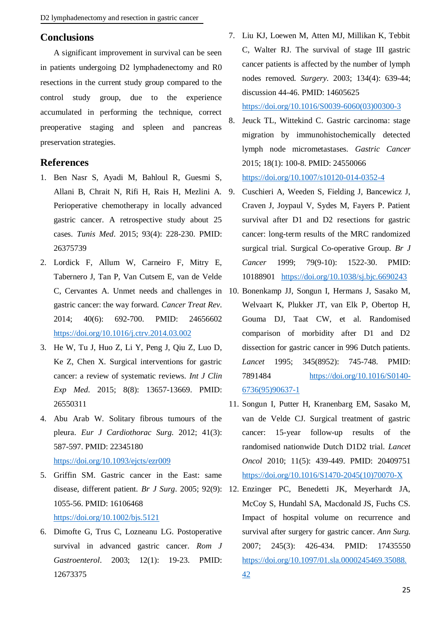## **Conclusions**

A significant improvement in survival can be seen in patients undergoing D2 lymphadenectomy and R0 resections in the current study group compared to the control study group, due to the experience accumulated in performing the technique, correct preoperative staging and spleen and pancreas preservation strategies.

## **References**

- 1. Ben Nasr S, Ayadi M, Bahloul R, Guesmi S, Allani B, Chrait N, Rifi H, Rais H, Mezlini A. Perioperative chemotherapy in locally advanced gastric cancer. A retrospective study about 25 cases. *Tunis Med*. 2015; 93(4): 228-230. PMID: 26375739
- 2. Lordick F, Allum W, Carneiro F, Mitry E, Tabernero J, Tan P, Van Cutsem E, van de Velde C, Cervantes A. Unmet needs and challenges in gastric cancer: the way forward. *Cancer Treat Rev*. 2014; 40(6): 692-700. PMID: 24656602 <https://doi.org/10.1016/j.ctrv.2014.03.002>
- 3. He W, Tu J, Huo Z, Li Y, Peng J, Qiu Z, Luo D, Ke Z, Chen X. Surgical interventions for gastric cancer: a review of systematic reviews. *Int J Clin Exp Med*. 2015; 8(8): 13657-13669. PMID: 26550311
- 4. Abu Arab W. Solitary fibrous tumours of the pleura. *Eur J Cardiothorac Surg*. 2012; 41(3): 587-597. PMID: 22345180 <https://doi.org/10.1093/ejcts/ezr009>
- 5. Griffin SM. Gastric cancer in the East: same disease, different patient. *Br J Surg*. 2005; 92(9): 12. Enzinger PC, Benedetti JK, Meyerhardt JA, 1055-56. PMID: 16106468

## <https://doi.org/10.1002/bjs.5121>

6. Dimofte G, Trus C, Lozneanu LG. Postoperative survival in advanced gastric cancer. *Rom J Gastroenterol*. 2003; 12(1): 19-23. PMID: 12673375

- 7. Liu KJ, Loewen M, Atten MJ, Millikan K, Tebbit C, Walter RJ. The survival of stage III gastric cancer patients is affected by the number of lymph nodes removed. *Surgery*. 2003; 134(4): 639-44; discussion 44-46. PMID: 14605625 [https://doi.org/10.1016/S0039-6060\(03\)00300-3](https://doi.org/10.1016/S0039-6060(03)00300-3)
- 8. Jeuck TL, Wittekind C. Gastric carcinoma: stage migration by immunohistochemically detected lymph node micrometastases. *Gastric Cancer* 2015; 18(1): 100-8. PMID: 24550066 <https://doi.org/10.1007/s10120-014-0352-4>
- 9. Cuschieri A, Weeden S, Fielding J, Bancewicz J, Craven J, Joypaul V, Sydes M, Fayers P. Patient survival after D1 and D2 resections for gastric cancer: long-term results of the MRC randomized surgical trial. Surgical Co-operative Group. *Br J Cancer* 1999; 79(9-10): 1522-30. PMID: 10188901 <https://doi.org/10.1038/sj.bjc.6690243>
- 10. Bonenkamp JJ, Songun I, Hermans J, Sasako M, Welvaart K, Plukker JT, van Elk P, Obertop H, Gouma DJ, Taat CW, et al. Randomised comparison of morbidity after D1 and D2 dissection for gastric cancer in 996 Dutch patients. *Lancet* 1995; 345(8952): 745-748. PMID: 7891484 [https://doi.org/10.1016/S0140-](https://doi.org/10.1016/S0140-6736(95)90637-1) [6736\(95\)90637-1](https://doi.org/10.1016/S0140-6736(95)90637-1)
- 11. Songun I, Putter H, Kranenbarg EM, Sasako M, van de Velde CJ. Surgical treatment of gastric cancer: 15-year follow-up results of the randomised nationwide Dutch D1D2 trial. *Lancet Oncol* 2010; 11(5): 439-449. PMID: 20409751 [https://doi.org/10.1016/S1470-2045\(10\)70070-X](https://doi.org/10.1016/S1470-2045(10)70070-X)
- McCoy S, Hundahl SA, Macdonald JS, Fuchs CS. Impact of hospital volume on recurrence and survival after surgery for gastric cancer. *Ann Surg.* 2007; 245(3): 426-434. PMID: 17435550 [https://doi.org/10.1097/01.sla.0000245469.35088.](https://doi.org/10.1097/01.sla.0000245469.35088.42) [42](https://doi.org/10.1097/01.sla.0000245469.35088.42)